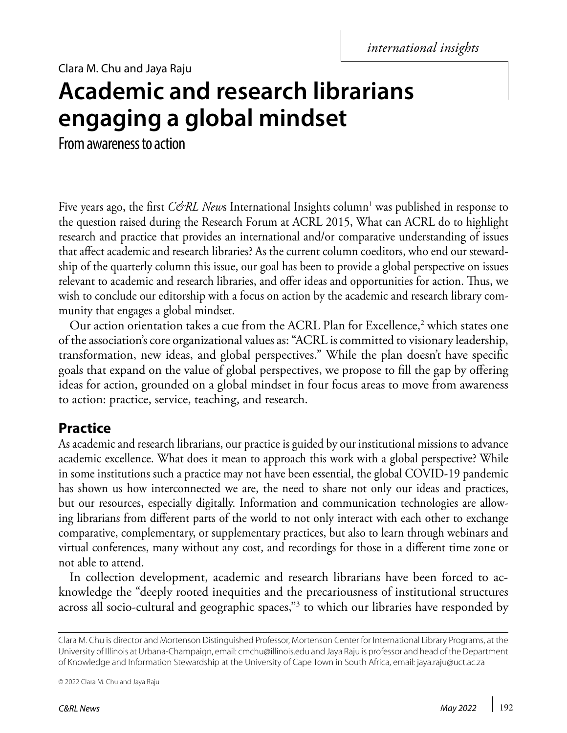Clara M. Chu and Jaya Raju

# **Academic and research librarians engaging a global mindset**

From awareness to action

Five years ago, the first *C&RL New*s International Insights column<sup>1</sup> was published in response to the question raised during the Research Forum at ACRL 2015, What can ACRL do to highlight research and practice that provides an international and/or comparative understanding of issues that affect academic and research libraries? As the current column coeditors, who end our stewardship of the quarterly column this issue, our goal has been to provide a global perspective on issues relevant to academic and research libraries, and offer ideas and opportunities for action. Thus, we wish to conclude our editorship with a focus on action by the academic and research library community that engages a global mindset.

Our action orientation takes a cue from the ACRL Plan for Excellence,<sup>2</sup> which states one of the association's core organizational values as: "ACRL is committed to visionary leadership, transformation, new ideas, and global perspectives." While the plan doesn't have specific goals that expand on the value of global perspectives, we propose to fill the gap by offering ideas for action, grounded on a global mindset in four focus areas to move from awareness to action: practice, service, teaching, and research.

## **Practice**

As academic and research librarians, our practice is guided by our institutional missions to advance academic excellence. What does it mean to approach this work with a global perspective? While in some institutions such a practice may not have been essential, the global COVID-19 pandemic has shown us how interconnected we are, the need to share not only our ideas and practices, but our resources, especially digitally. Information and communication technologies are allowing librarians from different parts of the world to not only interact with each other to exchange comparative, complementary, or supplementary practices, but also to learn through webinars and virtual conferences, many without any cost, and recordings for those in a different time zone or not able to attend.

In collection development, academic and research librarians have been forced to acknowledge the "deeply rooted inequities and the precariousness of institutional structures across all socio-cultural and geographic spaces,"<sup>3</sup> to which our libraries have responded by

© 2022 Clara M. Chu and Jaya Raju

Clara M. Chu is director and Mortenson Distinguished Professor, Mortenson Center for International Library Programs, at the University of Illinois at Urbana-Champaign, email: [cmchu@illinois.edu](mailto:cmchu%40illinois.edu?subject=) and Jaya Raju is professor and head of the Department of Knowledge and Information Stewardship at the University of Cape Town in South Africa, email: [jaya.raju@uct.ac.za](mailto:jaya.raju%40uct.ac.za?subject=)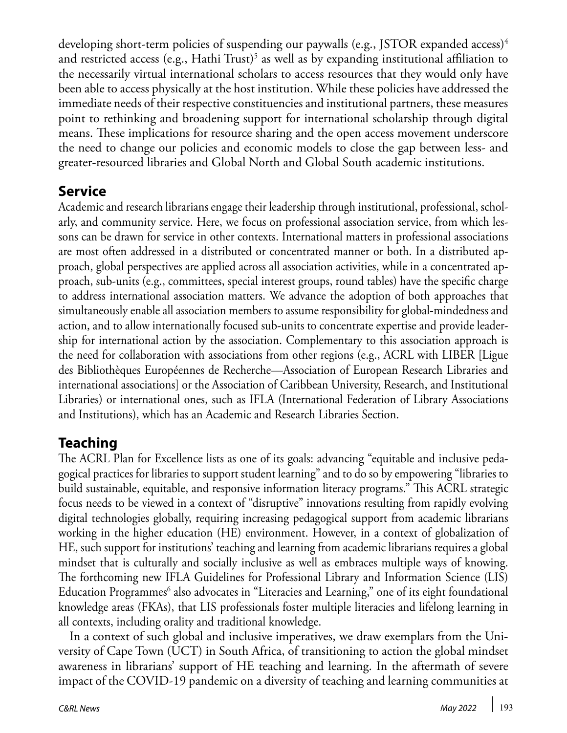developing short-term policies of suspending our paywalls (e.g., JSTOR expanded access)<sup>4</sup> and restricted access (e.g., Hathi Trust) $^5$  as well as by expanding institutional affiliation to the necessarily virtual international scholars to access resources that they would only have been able to access physically at the host institution. While these policies have addressed the immediate needs of their respective constituencies and institutional partners, these measures point to rethinking and broadening support for international scholarship through digital means. These implications for resource sharing and the open access movement underscore the need to change our policies and economic models to close the gap between less- and greater-resourced libraries and Global North and Global South academic institutions.

# **Service**

Academic and research librarians engage their leadership through institutional, professional, scholarly, and community service. Here, we focus on professional association service, from which lessons can be drawn for service in other contexts. International matters in professional associations are most often addressed in a distributed or concentrated manner or both. In a distributed approach, global perspectives are applied across all association activities, while in a concentrated approach, sub-units (e.g., committees, special interest groups, round tables) have the specific charge to address international association matters. We advance the adoption of both approaches that simultaneously enable all association members to assume responsibility for global-mindedness and action, and to allow internationally focused sub-units to concentrate expertise and provide leadership for international action by the association. Complementary to this association approach is the need for collaboration with associations from other regions (e.g., ACRL with LIBER [Ligue des Bibliothèques Européennes de Recherche—Association of European Research Libraries and international associations] or the Association of Caribbean University, Research, and Institutional Libraries) or international ones, such as IFLA (International Federation of Library Associations and Institutions), which has an Academic and Research Libraries Section.

# **Teaching**

The ACRL Plan for Excellence lists as one of its goals: advancing "equitable and inclusive pedagogical practices for libraries to support student learning" and to do so by empowering "libraries to build sustainable, equitable, and responsive information literacy programs." This ACRL strategic focus needs to be viewed in a context of "disruptive" innovations resulting from rapidly evolving digital technologies globally, requiring increasing pedagogical support from academic librarians working in the higher education (HE) environment. However, in a context of globalization of HE, such support for institutions' teaching and learning from academic librarians requires a global mindset that is culturally and socially inclusive as well as embraces multiple ways of knowing. The forthcoming new IFLA Guidelines for Professional Library and Information Science (LIS) Education Programmes $^6$  also advocates in "Literacies and Learning," one of its eight foundational knowledge areas (FKAs), that LIS professionals foster multiple literacies and lifelong learning in all contexts, including orality and traditional knowledge.

In a context of such global and inclusive imperatives, we draw exemplars from the University of Cape Town (UCT) in South Africa, of transitioning to action the global mindset awareness in librarians' support of HE teaching and learning. In the aftermath of severe impact of the COVID-19 pandemic on a diversity of teaching and learning communities at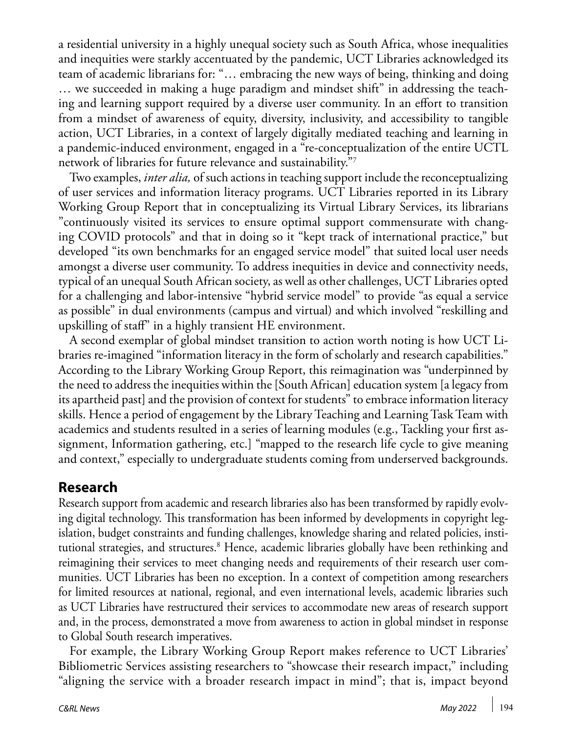a residential university in a highly unequal society such as South Africa, whose inequalities and inequities were starkly accentuated by the pandemic, UCT Libraries acknowledged its team of academic librarians for: "… embracing the new ways of being, thinking and doing … we succeeded in making a huge paradigm and mindset shift" in addressing the teaching and learning support required by a diverse user community. In an effort to transition from a mindset of awareness of equity, diversity, inclusivity, and accessibility to tangible action, UCT Libraries, in a context of largely digitally mediated teaching and learning in a pandemic-induced environment, engaged in a "re-conceptualization of the entire UCTL network of libraries for future relevance and sustainability."7

Two examples, *inter alia,* of such actions in teaching support include the reconceptualizing of user services and information literacy programs. UCT Libraries reported in its Library Working Group Report that in conceptualizing its Virtual Library Services, its librarians "continuously visited its services to ensure optimal support commensurate with changing COVID protocols" and that in doing so it "kept track of international practice," but developed "its own benchmarks for an engaged service model" that suited local user needs amongst a diverse user community. To address inequities in device and connectivity needs, typical of an unequal South African society, as well as other challenges, UCT Libraries opted for a challenging and labor-intensive "hybrid service model" to provide "as equal a service as possible" in dual environments (campus and virtual) and which involved "reskilling and upskilling of staff" in a highly transient HE environment.

A second exemplar of global mindset transition to action worth noting is how UCT Libraries re-imagined "information literacy in the form of scholarly and research capabilities." According to the Library Working Group Report, this reimagination was "underpinned by the need to address the inequities within the [South African] education system [a legacy from its apartheid past] and the provision of context for students" to embrace information literacy skills. Hence a period of engagement by the Library Teaching and Learning Task Team with academics and students resulted in a series of learning modules (e.g., Tackling your first assignment, Information gathering, etc.] "mapped to the research life cycle to give meaning and context," especially to undergraduate students coming from underserved backgrounds.

#### **Research**

Research support from academic and research libraries also has been transformed by rapidly evolving digital technology. This transformation has been informed by developments in copyright legislation, budget constraints and funding challenges, knowledge sharing and related policies, institutional strategies, and structures.<sup>8</sup> Hence, academic libraries globally have been rethinking and reimagining their services to meet changing needs and requirements of their research user communities. UCT Libraries has been no exception. In a context of competition among researchers for limited resources at national, regional, and even international levels, academic libraries such as UCT Libraries have restructured their services to accommodate new areas of research support and, in the process, demonstrated a move from awareness to action in global mindset in response to Global South research imperatives.

For example, the Library Working Group Report makes reference to UCT Libraries' Bibliometric Services assisting researchers to "showcase their research impact," including "aligning the service with a broader research impact in mind"; that is, impact beyond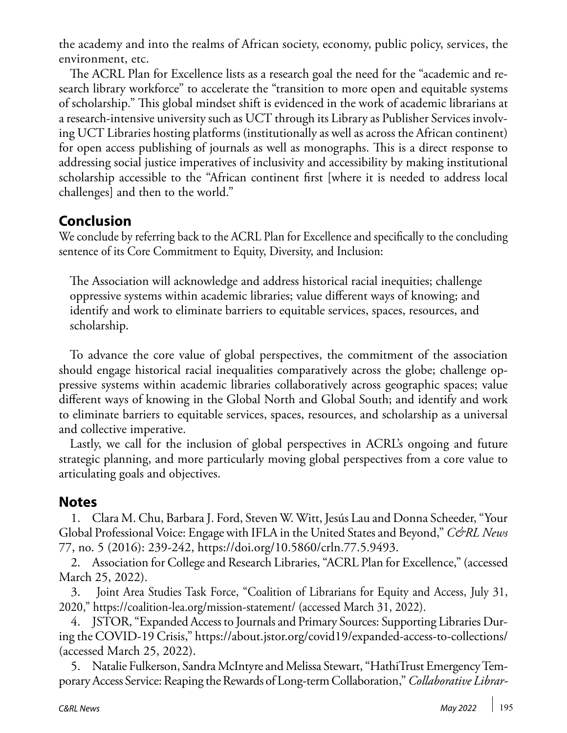the academy and into the realms of African society, economy, public policy, services, the environment, etc.

The ACRL Plan for Excellence lists as a research goal the need for the "academic and research library workforce" to accelerate the "transition to more open and equitable systems of scholarship." This global mindset shift is evidenced in the work of academic librarians at a research-intensive university such as UCT through its Library as Publisher Services involving UCT Libraries hosting platforms (institutionally as well as across the African continent) for open access publishing of journals as well as monographs. This is a direct response to addressing social justice imperatives of inclusivity and accessibility by making institutional scholarship accessible to the "African continent first [where it is needed to address local challenges] and then to the world."

## **Conclusion**

We conclude by referring back to the ACRL Plan for Excellence and specifically to the concluding sentence of its Core Commitment to Equity, Diversity, and Inclusion:

The Association will acknowledge and address historical racial inequities; challenge oppressive systems within academic libraries; value different ways of knowing; and identify and work to eliminate barriers to equitable services, spaces, resources, and scholarship.

To advance the core value of global perspectives, the commitment of the association should engage historical racial inequalities comparatively across the globe; challenge oppressive systems within academic libraries collaboratively across geographic spaces; value different ways of knowing in the Global North and Global South; and identify and work to eliminate barriers to equitable services, spaces, resources, and scholarship as a universal and collective imperative.

Lastly, we call for the inclusion of global perspectives in ACRL's ongoing and future strategic planning, and more particularly moving global perspectives from a core value to articulating goals and objectives.

# **Notes**

1. Clara M. Chu, Barbara J. Ford, Steven W. Witt, Jesús Lau and Donna Scheeder, "Your Global Professional Voice: Engage with IFLA in the United States and Beyond," *C&RL News* 77, no. 5 (2016): 239-242,<https://doi.org/10.5860/crln.77.5.9493>.

2. Association for College and Research Libraries, "ACRL Plan for Excellence," (accessed March 25, 2022).

3. Joint Area Studies Task Force, "Coalition of Librarians for Equity and Access, July 31, 2020," <https://coalition-lea.org/mission-statement/> (accessed March 31, 2022).

4. JSTOR, "Expanded Access to Journals and Primary Sources: Supporting Libraries During the COVID-19 Crisis," [https://about.jstor.org/covid19/expanded-access-to-collections/](https://about.jstor.org/covid19/expanded-access-to-collections /) (accessed March 25, 2022).

5. Natalie Fulkerson, Sandra McIntyre and Melissa Stewart, "HathiTrust Emergency Temporary Access Service: Reaping the Rewards of Long-term Collaboration," *Collaborative Librar-*